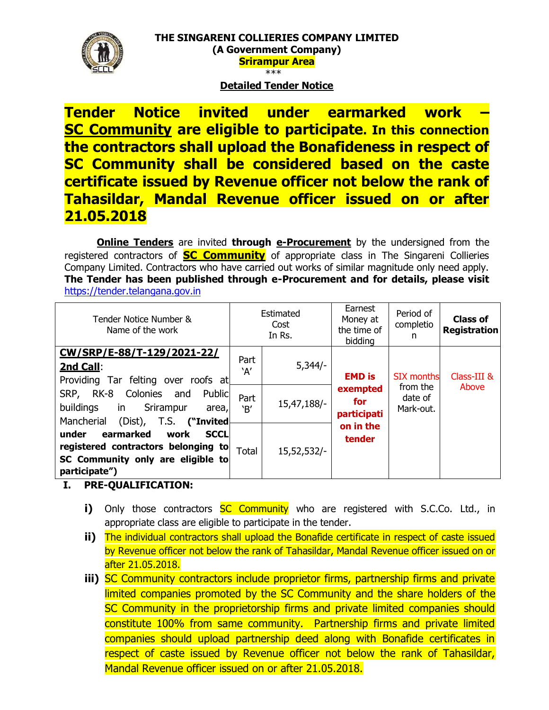## **Detailed Tender Notice**

**Tender Notice invited under earmarked work – SC Community are eligible to participate. In this connection the contractors shall upload the Bonafideness in respect of SC Community shall be considered based on the caste certificate issued by Revenue officer not below the rank of Tahasildar, Mandal Revenue officer issued on or after 21.05.2018**

**Online Tenders** are invited **through e-Procurement** by the undersigned from the registered contractors of **SC Community** of appropriate class in The Singareni Collieries Company Limited. Contractors who have carried out works of similar magnitude only need apply. **The Tender has been published through e-Procurement and for details, please visit**  [https://tender.telangana.gov.in](https://tender.telangana.gov.in/)

| Tender Notice Number &<br>Name of the work                                                                                             | Estimated<br>Cost<br>In Rs. |             | Earnest<br>Money at<br>the time of<br>bidding | Period of<br>completio<br>n                           | <b>Class of</b><br><b>Registration</b> |
|----------------------------------------------------------------------------------------------------------------------------------------|-----------------------------|-------------|-----------------------------------------------|-------------------------------------------------------|----------------------------------------|
| CW/SRP/E-88/T-129/2021-22/<br>2nd Call:<br>Providing Tar felting over roofs at                                                         | Part<br>`A'                 | $5,344/-$   | <b>EMD</b> is                                 | <b>SIX months</b><br>from the<br>date of<br>Mark-out. | Class-III &<br>Above                   |
| Public<br>RK-8<br>Colonies<br>SRP,<br>and<br>buildings<br>in<br>Srirampur<br>area,<br>Mancherial<br>(Dist),<br>T.S. ("Invited          | Part<br>`B'                 | 15,47,188/- | exempted<br>for<br>participati                |                                                       |                                        |
| under<br>earmarked<br><b>SCCL</b><br>work<br>registered contractors belonging to<br>SC Community only are eligible to<br>participate") | <b>Total</b>                | 15,52,532/- | on in the<br>tender                           |                                                       |                                        |

### **I. PRE-QUALIFICATION:**

- **i)** Only those contractors **SC Community** who are registered with S.C.Co. Ltd., in appropriate class are eligible to participate in the tender.
- **ii)** The individual contractors shall upload the Bonafide certificate in respect of caste issued by Revenue officer not below the rank of Tahasildar, Mandal Revenue officer issued on or after 21.05.2018.
- **iii)** SC Community contractors include proprietor firms, partnership firms and private limited companies promoted by the SC Community and the share holders of the SC Community in the proprietorship firms and private limited companies should constitute 100% from same community. Partnership firms and private limited companies should upload partnership deed along with Bonafide certificates in respect of caste issued by Revenue officer not below the rank of Tahasildar, Mandal Revenue officer issued on or after 21.05.2018.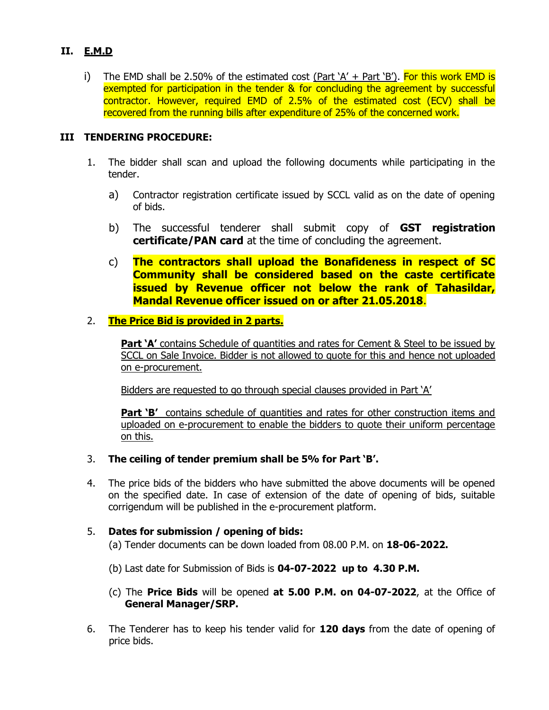### **II. E.M.D**

i) The EMD shall be 2.50% of the estimated cost  $(Part 'A' + Part 'B')$ . For this work EMD is exempted for participation in the tender & for concluding the agreement by successful contractor. However, required EMD of 2.5% of the estimated cost (ECV) shall be recovered from the running bills after expenditure of 25% of the concerned work.

### **III TENDERING PROCEDURE:**

- 1. The bidder shall scan and upload the following documents while participating in the tender.
	- a) Contractor registration certificate issued by SCCL valid as on the date of opening of bids.
	- b) The successful tenderer shall submit copy of **GST registration certificate/PAN card** at the time of concluding the agreement.
	- c) **The contractors shall upload the Bonafideness in respect of SC Community shall be considered based on the caste certificate issued by Revenue officer not below the rank of Tahasildar, Mandal Revenue officer issued on or after 21.05.2018**.

#### 2. **The Price Bid is provided in 2 parts.**

**Part 'A'** contains Schedule of quantities and rates for Cement & Steel to be issued by SCCL on Sale Invoice. Bidder is not allowed to quote for this and hence not uploaded on e-procurement.

Bidders are requested to go through special clauses provided in Part 'A'

**Part 'B'** contains schedule of quantities and rates for other construction items and uploaded on e-procurement to enable the bidders to quote their uniform percentage on this.

- 3. **The ceiling of tender premium shall be 5% for Part 'B'.**
- 4. The price bids of the bidders who have submitted the above documents will be opened on the specified date. In case of extension of the date of opening of bids, suitable corrigendum will be published in the e-procurement platform.
- 5. **Dates for submission / opening of bids:** (a) Tender documents can be down loaded from 08.00 P.M. on **18-06-2022.**
	- (b) Last date for Submission of Bids is **04-07-2022 up to 4.30 P.M.**
	- (c) The **Price Bids** will be opened **at 5.00 P.M. on 04-07-2022**, at the Office of **General Manager/SRP.**
- 6. The Tenderer has to keep his tender valid for **120 days** from the date of opening of price bids.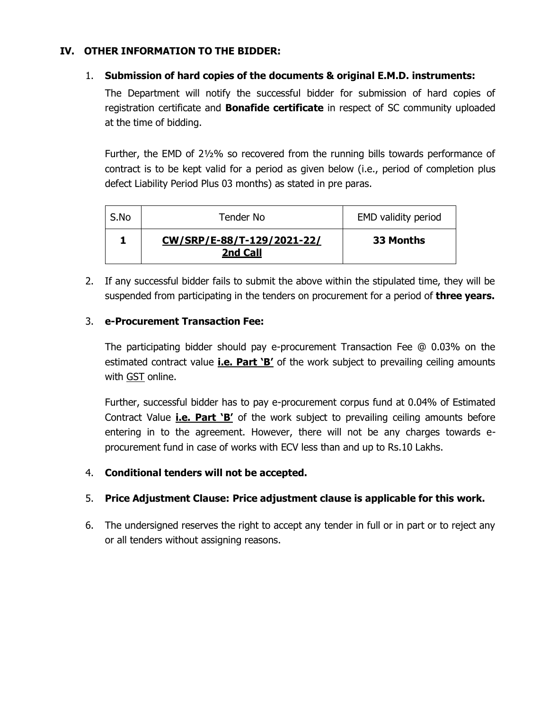## **IV. OTHER INFORMATION TO THE BIDDER:**

## 1. **Submission of hard copies of the documents & original E.M.D. instruments:**

The Department will notify the successful bidder for submission of hard copies of registration certificate and **Bonafide certificate** in respect of SC community uploaded at the time of bidding.

Further, the EMD of 2½% so recovered from the running bills towards performance of contract is to be kept valid for a period as given below (i.e., period of completion plus defect Liability Period Plus 03 months) as stated in pre paras.

| S.No | Tender No                              | <b>EMD validity period</b> |
|------|----------------------------------------|----------------------------|
|      | CW/SRP/E-88/T-129/2021-22/<br>2nd Call | 33 Months                  |

2. If any successful bidder fails to submit the above within the stipulated time, they will be suspended from participating in the tenders on procurement for a period of **three years.**

### 3. **e-Procurement Transaction Fee:**

The participating bidder should pay e-procurement Transaction Fee @ 0.03% on the estimated contract value **i.e. Part 'B'** of the work subject to prevailing ceiling amounts with GST online.

Further, successful bidder has to pay e-procurement corpus fund at 0.04% of Estimated Contract Value **i.e. Part 'B'** of the work subject to prevailing ceiling amounts before entering in to the agreement. However, there will not be any charges towards eprocurement fund in case of works with ECV less than and up to Rs.10 Lakhs.

### 4. **Conditional tenders will not be accepted.**

# 5. **Price Adjustment Clause: Price adjustment clause is applicable for this work.**

6. The undersigned reserves the right to accept any tender in full or in part or to reject any or all tenders without assigning reasons.